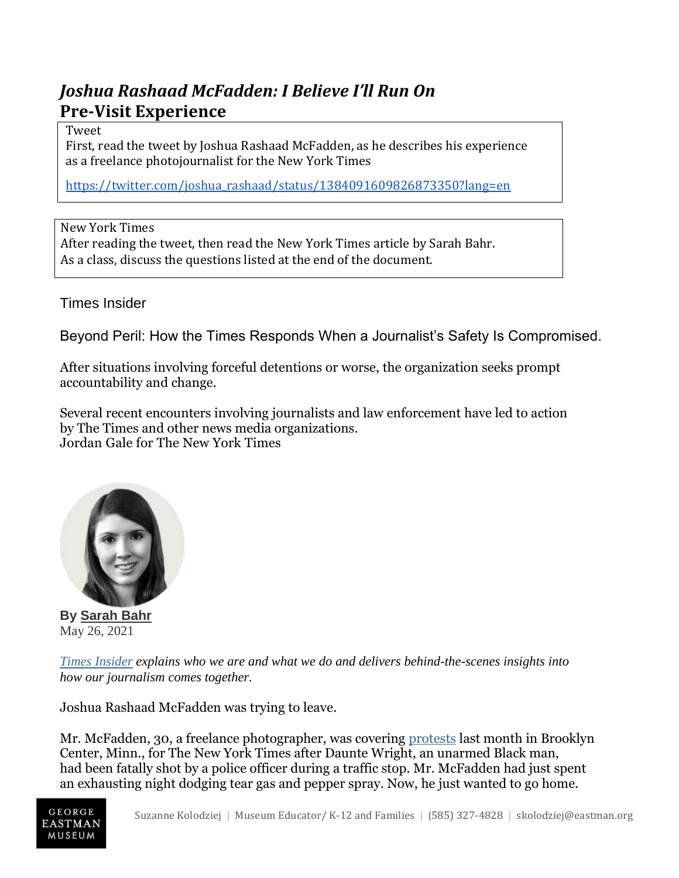## *Joshua Rashaad McFadden: I Believe I'll Run On* **Pre-Visit Experience**

## Tweet

First, read the tweet by Joshua Rashaad McFadden, as he describes his experience as a freelance photojournalist for the New York Times

[https://twitter.com/joshua\\_rashaad/status/1384091609826873350?lang=en](https://twitter.com/joshua_rashaad/status/1384091609826873350?lang=en)

New York Times After reading the tweet, then read the New York Times article by Sarah Bahr. As a class, discuss the questions listed at the end of the document.

Times Insider

Beyond Peril: How the Times Responds When a Journalist's Safety Is Compromised.

After situations involving forceful detentions or worse, the organization seeks prompt accountability and change.

Several recent encounters involving journalists and law enforcement have led to action by The Times and other news media organizations. Jordan Gale for The New York Times



**By [Sarah](https://www.nytimes.com/by/sarah-bahr) Bahr** May 26, 2021

*Times [Insider](https://www.nytimes.com/series/times-insider) explains who we are and what we do and delivers behind-the-scenes insights into how our journalism comes together.*

Joshua Rashaad McFadden was trying to leave.

Mr. McFadden, 30, a freelance photographer, was covering [protests](https://www.nytimes.com/live/2021/04/12/us/protests-today-daunte-wright-minneapolis) last month in Brooklyn Center, Minn., for The New York Times after Daunte Wright, an unarmed Black man, had been fatally shot by a police officer during a traffic stop. Mr. McFadden had just spent an exhausting night dodging tear gas and pepper spray. Now, he just wanted to go home.

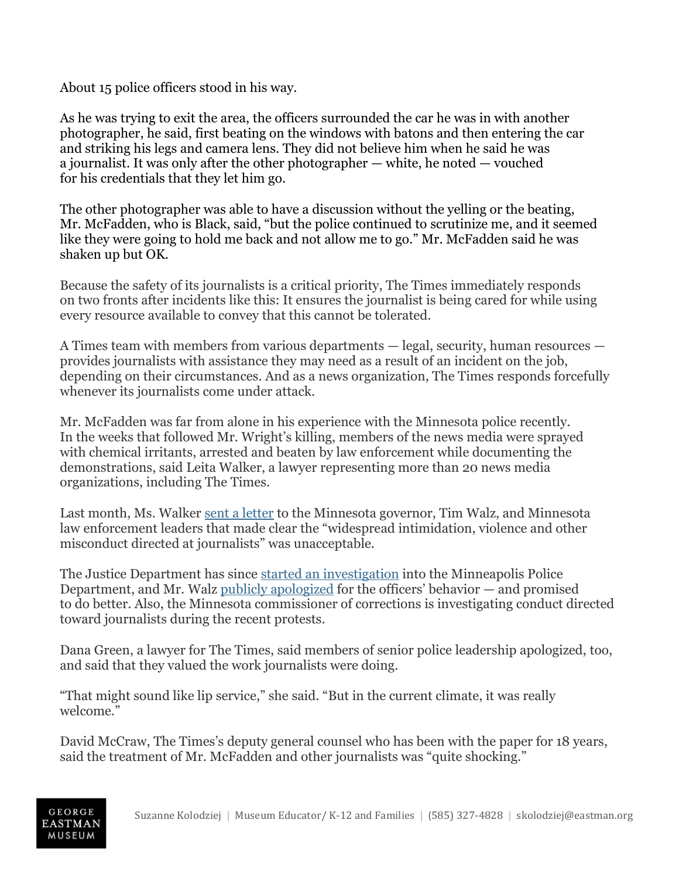About 15 police officers stood in his way.

As he was trying to exit the area, the officers surrounded the car he was in with another photographer, he said, first beating on the windows with batons and then entering the car and striking his legs and camera lens. They did not believe him when he said he was a journalist. It was only after the other photographer — white, he noted — vouched for his credentials that they let him go.

The other photographer was able to have a discussion without the yelling or the beating, Mr. McFadden, who is Black, said, "but the police continued to scrutinize me, and it seemed like they were going to hold me back and not allow me to go." Mr. McFadden said he was shaken up but OK.

Because the safety of its journalists is a critical priority, The Times immediately responds on two fronts after incidents like this: It ensures the journalist is being cared for while using every resource available to convey that this cannot be tolerated.

A Times team with members from various departments — legal, security, human resources provides journalists with assistance they may need as a result of an incident on the job, depending on their circumstances. And as a news organization, The Times responds forcefully whenever its journalists come under attack.

Mr. McFadden was far from alone in his experience with the Minnesota police recently. In the weeks that followed Mr. Wright's killing, members of the news media were sprayed with chemical irritants, arrested and beaten by law enforcement while documenting the demonstrations, said Leita Walker, a lawyer representing more than 20 news media organizations, including The Times.

Last month, Ms. Walker sent a [letter](https://www.nytimes.com/2021/04/18/business/minnesota-journalists-assault-protests.html) to the Minnesota governor, Tim Walz, and Minnesota law enforcement leaders that made clear the "widespread intimidation, violence and other misconduct directed at journalists" was unacceptable.

The Justice Department has since started an [investigation](https://www.nytimes.com/2021/04/21/us/justice-department-investigation-minneapolis-police.html) into the Minneapolis Police Department, and Mr. Walz publicly [apologized](https://www.nytimes.com/2021/04/18/business/minnesota-journalists-assault-protests.html) for the officers' behavior — and promised to do better. Also, the Minnesota commissioner of corrections is investigating conduct directed toward journalists during the recent protests.

Dana Green, a lawyer for The Times, said members of senior police leadership apologized, too, and said that they valued the work journalists were doing.

"That might sound like lip service," she said. "But in the current climate, it was really welcome."

David McCraw, The Times's deputy general counsel who has been with the paper for 18 years, said the treatment of Mr. McFadden and other journalists was "quite shocking."

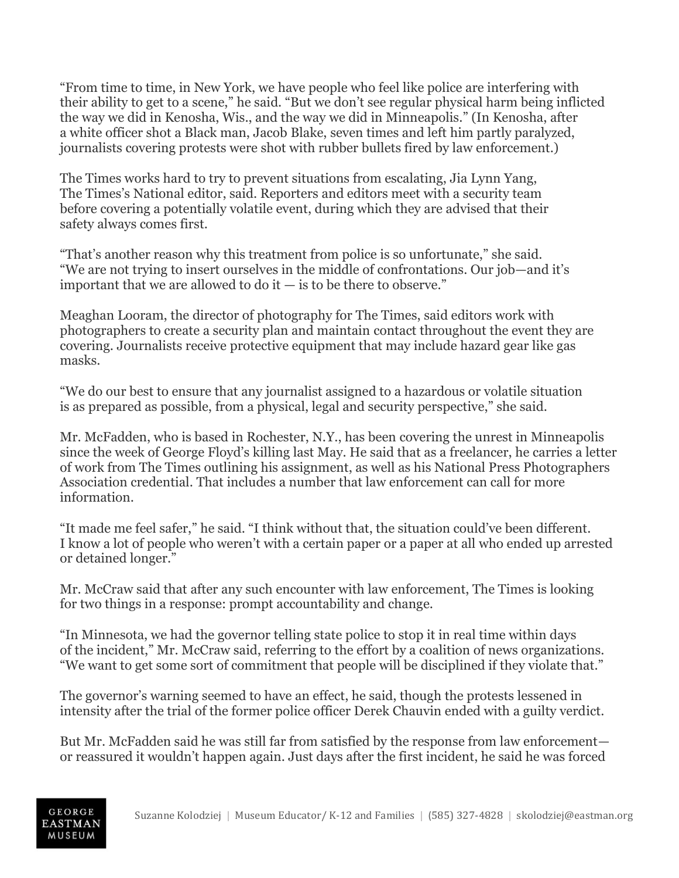"From time to time, in New York, we have people who feel like police are interfering with their ability to get to a scene," he said. "But we don't see regular physical harm being inflicted the way we did in Kenosha, Wis., and the way we did in Minneapolis." (In Kenosha, after a white officer shot a Black man, Jacob Blake, seven times and left him partly paralyzed, journalists covering protests were shot with rubber bullets fired by law enforcement.)

The Times works hard to try to prevent situations from escalating, Jia Lynn Yang, The Times's National editor, said. Reporters and editors meet with a security team before covering a potentially volatile event, during which they are advised that their safety always comes first.

"That's another reason why this treatment from police is so unfortunate," she said. "We are not trying to insert ourselves in the middle of confrontations. Our job—and it's important that we are allowed to do it  $-$  is to be there to observe."

Meaghan Looram, the director of photography for The Times, said editors work with photographers to create a security plan and maintain contact throughout the event they are covering. Journalists receive protective equipment that may include hazard gear like gas masks.

"We do our best to ensure that any journalist assigned to a hazardous or volatile situation is as prepared as possible, from a physical, legal and security perspective," she said.

Mr. McFadden, who is based in Rochester, N.Y., has been covering the unrest in Minneapolis since the week of George Floyd's killing last May. He said that as a freelancer, he carries a letter of work from The Times outlining his assignment, as well as his National Press Photographers Association credential. That includes a number that law enforcement can call for more information.

"It made me feel safer," he said. "I think without that, the situation could've been different. I know a lot of people who weren't with a certain paper or a paper at all who ended up arrested or detained longer."

Mr. McCraw said that after any such encounter with law enforcement, The Times is looking for two things in a response: prompt accountability and change.

"In Minnesota, we had the governor telling state police to stop it in real time within days of the incident," Mr. McCraw said, referring to the effort by a coalition of news organizations. "We want to get some sort of commitment that people will be disciplined if they violate that."

The governor's warning seemed to have an effect, he said, though the protests lessened in intensity after the trial of the former police officer Derek Chauvin ended with a guilty verdict.

But Mr. McFadden said he was still far from satisfied by the response from law enforcement or reassured it wouldn't happen again. Just days after the first incident, he said he was forced